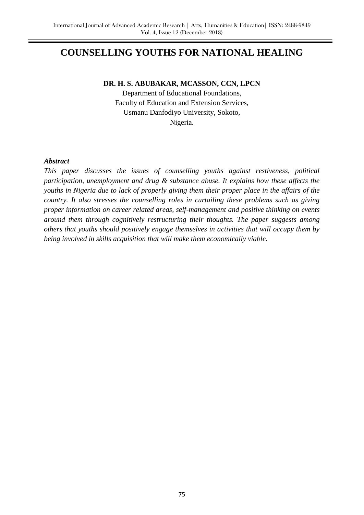# **COUNSELLING YOUTHS FOR NATIONAL HEALING**

## **DR. H. S. ABUBAKAR, MCASSON, CCN, LPCN**

Department of Educational Foundations, Faculty of Education and Extension Services, Usmanu Danfodiyo University, Sokoto, Nigeria.

## *Abstract*

*This paper discusses the issues of counselling youths against restiveness, political participation, unemployment and drug & substance abuse. It explains how these affects the youths in Nigeria due to lack of properly giving them their proper place in the affairs of the country. It also stresses the counselling roles in curtailing these problems such as giving proper information on career related areas, self-management and positive thinking on events around them through cognitively restructuring their thoughts. The paper suggests among others that youths should positively engage themselves in activities that will occupy them by being involved in skills acquisition that will make them economically viable.*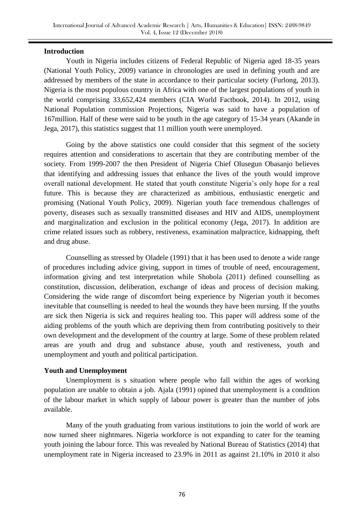## **Introduction**

Youth in Nigeria includes citizens of Federal Republic of Nigeria aged 18-35 years (National Youth Policy, 2009) variance in chronologies are used in defining youth and are addressed by members of the state in accordance to their particular society (Furlong, 2013). Nigeria is the most populous country in Africa with one of the largest populations of youth in the world comprising 33,652,424 members (CIA World Factbook, 2014). In 2012, using National Population commission Projections, Nigeria was said to have a population of 167million. Half of these were said to be youth in the age category of 15-34 years (Akande in Jega, 2017), this statistics suggest that 11 million youth were unemployed.

Going by the above statistics one could consider that this segment of the society requires attention and considerations to ascertain that they are contributing member of the society. From 1999-2007 the then President of Nigeria Chief Olusegun Obasanjo believes that identifying and addressing issues that enhance the lives of the youth would improve overall national development. He stated that youth constitute Nigeria's only hope for a real future. This is because they are characterized as ambitious, enthusiastic energetic and promising (National Youth Policy, 2009). Nigerian youth face tremendous challenges of poverty, diseases such as sexually transmitted diseases and HIV and AIDS, unemployment and marginalization and exclusion in the political economy (Jega, 2017). In addition are crime related issues such as robbery, restiveness, examination malpractice, kidnapping, theft and drug abuse.

Counselling as stressed by Oladele (1991) that it has been used to denote a wide range of procedures including advice giving, support in times of trouble of need, encouragement, information giving and test interpretation while Shobola (2011) defined counselling as constitution, discussion, deliberation, exchange of ideas and process of decision making. Considering the wide range of discomfort being experience by Nigerian youth it becomes inevitable that counselling is needed to heal the wounds they have been nursing. If the youths are sick then Nigeria is sick and requires healing too. This paper will address some of the aiding problems of the youth which are depriving them from contributing positively to their own development and the development of the country at large. Some of these problem related areas are youth and drug and substance abuse, youth and restiveness, youth and unemployment and youth and political participation.

#### **Youth and Unemployment**

Unemployment is s situation where people who fall within the ages of working population are unable to obtain a job. Ajala (1991) opined that unemployment is a condition of the labour market in which supply of labour power is greater than the number of jobs available.

Many of the youth graduating from various institutions to join the world of work are now turned sheer nightmares. Nigeria workforce is not expanding to cater for the teaming youth joining the labour force. This was revealed by National Bureau of Statistics (2014) that unemployment rate in Nigeria increased to 23.9% in 2011 as against 21.10% in 2010 it also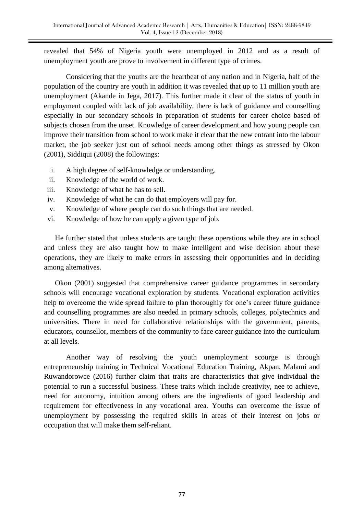revealed that 54% of Nigeria youth were unemployed in 2012 and as a result of unemployment youth are prove to involvement in different type of crimes.

Considering that the youths are the heartbeat of any nation and in Nigeria, half of the population of the country are youth in addition it was revealed that up to 11 million youth are unemployment (Akande in Jega, 2017). This further made it clear of the status of youth in employment coupled with lack of job availability, there is lack of guidance and counselling especially in our secondary schools in preparation of students for career choice based of subjects chosen from the unset. Knowledge of career development and how young people can improve their transition from school to work make it clear that the new entrant into the labour market, the job seeker just out of school needs among other things as stressed by Okon (2001), Siddiqui (2008) the followings:

- i. A high degree of self-knowledge or understanding.
- ii. Knowledge of the world of work.
- iii. Knowledge of what he has to sell.
- iv. Knowledge of what he can do that employers will pay for.
- v. Knowledge of where people can do such things that are needed.
- vi. Knowledge of how he can apply a given type of job.

He further stated that unless students are taught these operations while they are in school and unless they are also taught how to make intelligent and wise decision about these operations, they are likely to make errors in assessing their opportunities and in deciding among alternatives.

Okon (2001) suggested that comprehensive career guidance programmes in secondary schools will encourage vocational exploration by students. Vocational exploration activities help to overcome the wide spread failure to plan thoroughly for one's career future guidance and counselling programmes are also needed in primary schools, colleges, polytechnics and universities. There in need for collaborative relationships with the government, parents, educators, counsellor, members of the community to face career guidance into the curriculum at all levels.

Another way of resolving the youth unemployment scourge is through entrepreneurship training in Technical Vocational Education Training, Akpan, Malami and Ruwandorowce (2016) further claim that traits are characteristics that give individual the potential to run a successful business. These traits which include creativity, nee to achieve, need for autonomy, intuition among others are the ingredients of good leadership and requirement for effectiveness in any vocational area. Youths can overcome the issue of unemployment by possessing the required skills in areas of their interest on jobs or occupation that will make them self-reliant.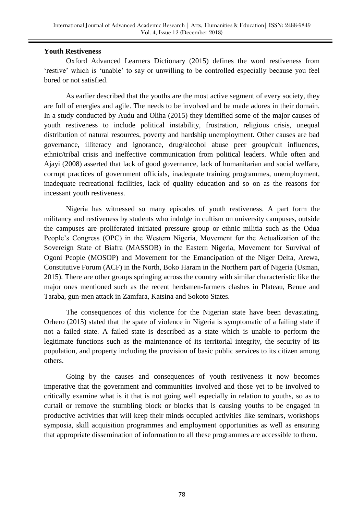## **Youth Restiveness**

Oxford Advanced Learners Dictionary (2015) defines the word restiveness from 'restive' which is 'unable' to say or unwilling to be controlled especially because you feel bored or not satisfied.

As earlier described that the youths are the most active segment of every society, they are full of energies and agile. The needs to be involved and be made adores in their domain. In a study conducted by Audu and Oliha (2015) they identified some of the major causes of youth restiveness to include political instability, frustration, religious crisis, unequal distribution of natural resources, poverty and hardship unemployment. Other causes are bad governance, illiteracy and ignorance, drug/alcohol abuse peer group/cult influences, ethnic/tribal crisis and ineffective communication from political leaders. While often and Ajayi (2008) asserted that lack of good governance, lack of humanitarian and social welfare, corrupt practices of government officials, inadequate training programmes, unemployment, inadequate recreational facilities, lack of quality education and so on as the reasons for incessant youth restiveness.

Nigeria has witnessed so many episodes of youth restiveness. A part form the militancy and restiveness by students who indulge in cultism on university campuses, outside the campuses are proliferated initiated pressure group or ethnic militia such as the Odua People's Congress (OPC) in the Western Nigeria, Movement for the Actualization of the Sovereign State of Biafra (MASSOB) in the Eastern Nigeria, Movement for Survival of Ogoni People (MOSOP) and Movement for the Emancipation of the Niger Delta, Arewa, Constitutive Forum (ACF) in the North, Boko Haram in the Northern part of Nigeria (Usman, 2015). There are other groups springing across the country with similar characteristic like the major ones mentioned such as the recent herdsmen-farmers clashes in Plateau, Benue and Taraba, gun-men attack in Zamfara, Katsina and Sokoto States.

The consequences of this violence for the Nigerian state have been devastating. Orhero (2015) stated that the spate of violence in Nigeria is symptomatic of a failing state if not a failed state. A failed state is described as a state which is unable to perform the legitimate functions such as the maintenance of its territorial integrity, the security of its population, and property including the provision of basic public services to its citizen among others.

Going by the causes and consequences of youth restiveness it now becomes imperative that the government and communities involved and those yet to be involved to critically examine what is it that is not going well especially in relation to youths, so as to curtail or remove the stumbling block or blocks that is causing youths to be engaged in productive activities that will keep their minds occupied activities like seminars, workshops symposia, skill acquisition programmes and employment opportunities as well as ensuring that appropriate dissemination of information to all these programmes are accessible to them.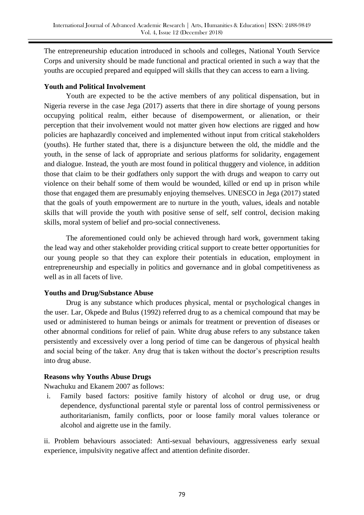The entrepreneurship education introduced in schools and colleges, National Youth Service Corps and university should be made functional and practical oriented in such a way that the youths are occupied prepared and equipped will skills that they can access to earn a living.

## **Youth and Political Involvement**

Youth are expected to be the active members of any political dispensation, but in Nigeria reverse in the case Jega (2017) asserts that there in dire shortage of young persons occupying political realm, either because of disempowerment, or alienation, or their perception that their involvement would not matter given how elections are rigged and how policies are haphazardly conceived and implemented without input from critical stakeholders (youths). He further stated that, there is a disjuncture between the old, the middle and the youth, in the sense of lack of appropriate and serious platforms for solidarity, engagement and dialogue. Instead, the youth are most found in political thuggery and violence, in addition those that claim to be their godfathers only support the with drugs and weapon to carry out violence on their behalf some of them would be wounded, killed or end up in prison while those that engaged them are presumably enjoying themselves. UNESCO in Jega (2017) stated that the goals of youth empowerment are to nurture in the youth, values, ideals and notable skills that will provide the youth with positive sense of self, self control, decision making skills, moral system of belief and pro-social connectiveness.

The aforementioned could only be achieved through hard work, government taking the lead way and other stakeholder providing critical support to create better opportunities for our young people so that they can explore their potentials in education, employment in entrepreneurship and especially in politics and governance and in global competitiveness as well as in all facets of live.

## **Youths and Drug/Substance Abuse**

Drug is any substance which produces physical, mental or psychological changes in the user. Lar, Okpede and Bulus (1992) referred drug to as a chemical compound that may be used or administered to human beings or animals for treatment or prevention of diseases or other abnormal conditions for relief of pain. White drug abuse refers to any substance taken persistently and excessively over a long period of time can be dangerous of physical health and social being of the taker. Any drug that is taken without the doctor's prescription results into drug abuse.

## **Reasons why Youths Abuse Drugs**

Nwachuku and Ekanem 2007 as follows:

i. Family based factors: positive family history of alcohol or drug use, or drug dependence, dysfunctional parental style or parental loss of control permissiveness or authoritarianism, family conflicts, poor or loose family moral values tolerance or alcohol and aigrette use in the family.

ii. Problem behaviours associated: Anti-sexual behaviours, aggressiveness early sexual experience, impulsivity negative affect and attention definite disorder.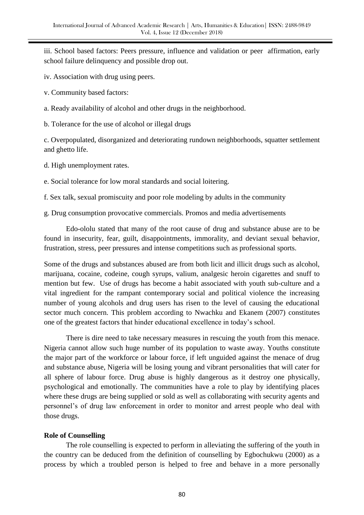iii. School based factors: Peers pressure, influence and validation or peer affirmation, early school failure delinquency and possible drop out.

iv. Association with drug using peers.

v. Community based factors:

a. Ready availability of alcohol and other drugs in the neighborhood.

b. Tolerance for the use of alcohol or illegal drugs

c. Overpopulated, disorganized and deteriorating rundown neighborhoods, squatter settlement and ghetto life.

d. High unemployment rates.

e. Social tolerance for low moral standards and social loitering.

f. Sex talk, sexual promiscuity and poor role modeling by adults in the community

g. Drug consumption provocative commercials. Promos and media advertisements

Edo-ololu stated that many of the root cause of drug and substance abuse are to be found in insecurity, fear, guilt, disappointments, immorality, and deviant sexual behavior, frustration, stress, peer pressures and intense competitions such as professional sports.

Some of the drugs and substances abused are from both licit and illicit drugs such as alcohol, marijuana, cocaine, codeine, cough syrups, valium, analgesic heroin cigarettes and snuff to mention but few. Use of drugs has become a habit associated with youth sub-culture and a vital ingredient for the rampant contemporary social and political violence the increasing number of young alcohols and drug users has risen to the level of causing the educational sector much concern. This problem according to Nwachku and Ekanem (2007) constitutes one of the greatest factors that hinder educational excellence in today's school.

There is dire need to take necessary measures in rescuing the youth from this menace. Nigeria cannot allow such huge number of its population to waste away. Youths constitute the major part of the workforce or labour force, if left unguided against the menace of drug and substance abuse, Nigeria will be losing young and vibrant personalities that will cater for all sphere of labour force. Drug abuse is highly dangerous as it destroy one physically, psychological and emotionally. The communities have a role to play by identifying places where these drugs are being supplied or sold as well as collaborating with security agents and personnel's of drug law enforcement in order to monitor and arrest people who deal with those drugs.

## **Role of Counselling**

The role counselling is expected to perform in alleviating the suffering of the youth in the country can be deduced from the definition of counselling by Egbochukwu (2000) as a process by which a troubled person is helped to free and behave in a more personally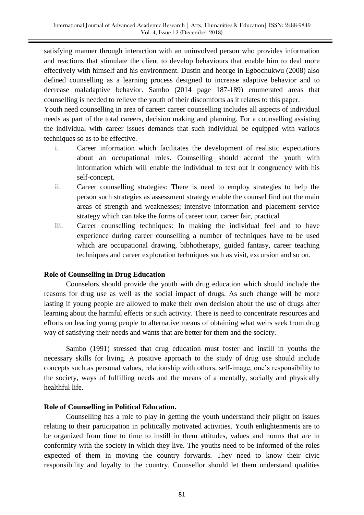satisfying manner through interaction with an uninvolved person who provides information and reactions that stimulate the client to develop behaviours that enable him to deal more effectively with himself and his environment. Dustin and heorge in Egbochukwu (2008) also defined counselling as a learning process designed to increase adaptive behavior and to decrease maladaptive behavior. Sambo (2014 page 187-189) enumerated areas that counselling is needed to relieve the youth of their discomforts as it relates to this paper.

Youth need counselling in area of career: career counselling includes all aspects of individual needs as part of the total careers, decision making and planning. For a counselling assisting the individual with career issues demands that such individual be equipped with various techniques so as to be effective.

- i. Career information which facilitates the development of realistic expectations about an occupational roles. Counselling should accord the youth with information which will enable the individual to test out it congruency with his self-concept.
- ii. Career counselling strategies: There is need to employ strategies to help the person such strategies as assessment strategy enable the counsel find out the main areas of strength and weaknesses; intensive information and placement service strategy which can take the forms of career tour, career fair, practical
- iii. Career counselling techniques: In making the individual feel and to have experience during career counselling a number of techniques have to be used which are occupational drawing, bibhotherapy, guided fantasy, career teaching techniques and career exploration techniques such as visit, excursion and so on.

## **Role of Counselling in Drug Education**

Counselors should provide the youth with drug education which should include the reasons for drug use as well as the social impact of drugs. As such change will be more lasting if young people are allowed to make their own decision about the use of drugs after learning about the harmful effects or such activity. There is need to concentrate resources and efforts on leading young people to alternative means of obtaining what weirs seek from drug way of satisfying their needs and wants that are better for them and the society.

Sambo (1991) stressed that drug education must foster and instill in youths the necessary skills for living. A positive approach to the study of drug use should include concepts such as personal values, relationship with others, self-image, one's responsibility to the society, ways of fulfilling needs and the means of a mentally, socially and physically healthful life.

## **Role of Counselling in Political Education.**

Counselling has a role to play in getting the youth understand their plight on issues relating to their participation in politically motivated activities. Youth enlightenments are to be organized from time to time to instill in them attitudes, values and norms that are in conformity with the society in which they live. The youths need to be informed of the roles expected of them in moving the country forwards. They need to know their civic responsibility and loyalty to the country. Counsellor should let them understand qualities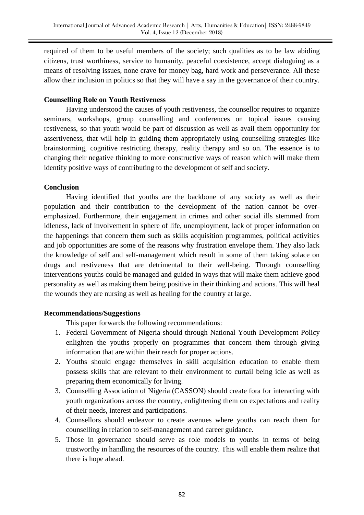required of them to be useful members of the society; such qualities as to be law abiding citizens, trust worthiness, service to humanity, peaceful coexistence, accept dialoguing as a means of resolving issues, none crave for money bag, hard work and perseverance. All these allow their inclusion in politics so that they will have a say in the governance of their country.

## **Counselling Role on Youth Restiveness**

Having understood the causes of youth restiveness, the counsellor requires to organize seminars, workshops, group counselling and conferences on topical issues causing restiveness, so that youth would be part of discussion as well as avail them opportunity for assertiveness, that will help in guiding them appropriately using counselling strategies like brainstorming, cognitive restricting therapy, reality therapy and so on. The essence is to changing their negative thinking to more constructive ways of reason which will make them identify positive ways of contributing to the development of self and society.

## **Conclusion**

Having identified that youths are the backbone of any society as well as their population and their contribution to the development of the nation cannot be overemphasized. Furthermore, their engagement in crimes and other social ills stemmed from idleness, lack of involvement in sphere of life, unemployment, lack of proper information on the happenings that concern them such as skills acquisition programmes, political activities and job opportunities are some of the reasons why frustration envelope them. They also lack the knowledge of self and self-management which result in some of them taking solace on drugs and restiveness that are detrimental to their well-being. Through counselling interventions youths could be managed and guided in ways that will make them achieve good personality as well as making them being positive in their thinking and actions. This will heal the wounds they are nursing as well as healing for the country at large.

## **Recommendations/Suggestions**

This paper forwards the following recommendations:

- 1. Federal Government of Nigeria should through National Youth Development Policy enlighten the youths properly on programmes that concern them through giving information that are within their reach for proper actions.
- 2. Youths should engage themselves in skill acquisition education to enable them possess skills that are relevant to their environment to curtail being idle as well as preparing them economically for living.
- 3. Counselling Association of Nigeria (CASSON) should create fora for interacting with youth organizations across the country, enlightening them on expectations and reality of their needs, interest and participations.
- 4. Counsellors should endeavor to create avenues where youths can reach them for counselling in relation to self-management and career guidance.
- 5. Those in governance should serve as role models to youths in terms of being trustworthy in handling the resources of the country. This will enable them realize that there is hope ahead.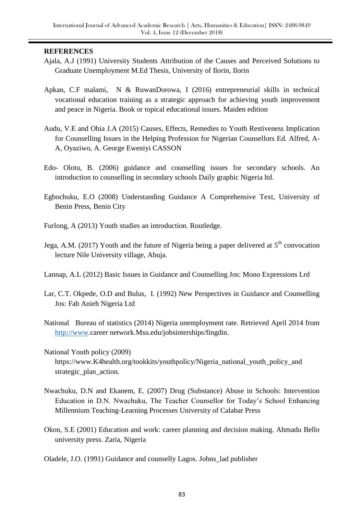## **REFERENCES**

- Ajala, A.J (1991) University Students Attribution of the Causes and Perceived Solutions to Graduate Unemployment M.Ed Thesis, University of Ilorin, Ilorin
- Apkan, C.F malami, N & RuwanDorowa, I (2016) entrepreneurial skills in technical vocational education training as a strategic approach for achieving youth improvement and peace in Nigeria. Book or topical educational issues. Maiden edition
- Audu, V.E and Ohia J.A (2015) Causes, Effects, Remedies to Youth Restiveness Implication for Counselling Issues in the Helping Profession for Nigerian Counsellors Ed. Alfred, A-A, Oyaziwo, A. George Eweniyi CASSON
- Edo- Olotu, B. (2006) guidance and counselling issues for secondary schools. An introduction to counselling in secondary schools Daily graphic Nigeria ltd.
- Egbochuku, E.O (2008) Understanding Guidance A Comprehensive Text, University of Benin Press, Benin City
- Furlong, A (2013) Youth studies an introduction. Routledge.
- Jega, A.M. (2017) Youth and the future of Nigeria being a paper delivered at  $5<sup>th</sup>$  convocation lecture Nile University village, Abuja.
- Lannap, A.L (2012) Basic Issues in Guidance and Counselling Jos: Mono Expressions Lrd
- Lar, C.T. Okpede, O.D and Bulus, I. (1992) New Perspectives in Guidance and Counselling Jos: Fab Anieh Nigeria Ltd
- National Bureau of statistics (2014) Nigeria unemployment rate. Retrieved April 2014 from [http://www.](http://www/)career network.Msu.edu/jobsinterships/fingdin.
- National Youth policy (2009) https://www.K4health.org/tookkits/youthpolicy/Nigeria\_national\_youth\_policy\_and strategic\_plan\_action.
- Nwachuku, D.N and Ekanem, E. (2007) Drug (Substance) Abuse in Schools: Intervention Education in D.N. Nwachuku, The Teacher Counsellor for Today's School Enhancing Millennium Teaching-Learning Processes University of Calabar Press
- Okon, S.E (2001) Education and work: career planning and decision making. Ahmadu Bello university press. Zaria, Nigeria

Oladele, J.O. (1991) Guidance and counselly Lagos. Johns\_lad publisher